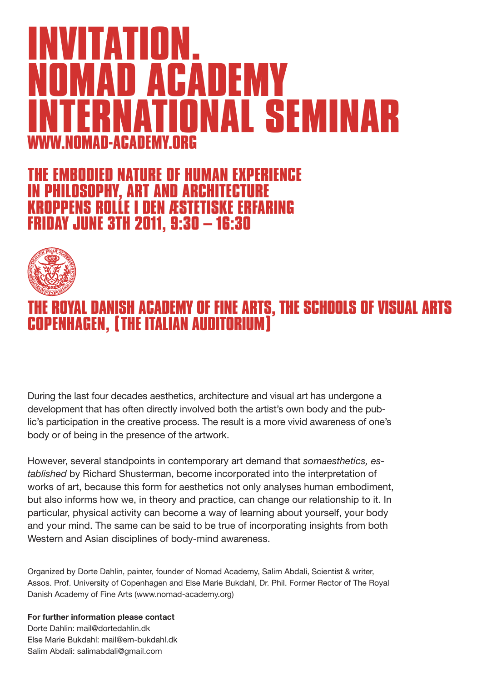### **INVITATION. NOMAD ACADEMY INTERNATIONAL SEMINAR WWW.NOMAD-ACADEMY.ORG**

### **THE EMBODIED NATURE OF HUMAN EXPERIENCE INILOSOPHY, ART AND A<br>PPFNS ROLLE I DEN ÆSI NEW ÆSTETISKE ERFARING FRIDAY JUNE 3TH 2011, 9:30 – 16:30**



### **THE ROYAL DANISH ACADEMY OF FINE ARTS, THE SCHOOLS OF VISUAL ARTS COPENHAGEN, (THE ITALIAN AUDITORIUM)**

During the last four decades aesthetics, architecture and visual art has undergone a development that has often directly involved both the artist's own body and the public's participation in the creative process. The result is a more vivid awareness of one's body or of being in the presence of the artwork.

However, several standpoints in contemporary art demand that *somaesthetics, established* by Richard Shusterman, become incorporated into the interpretation of works of art, because this form for aesthetics not only analyses human embodiment, but also informs how we, in theory and practice, can change our relationship to it. In particular, physical activity can become a way of learning about yourself, your body and your mind. The same can be said to be true of incorporating insights from both Western and Asian disciplines of body-mind awareness.

Organized by Dorte Dahlin, painter, founder of Nomad Academy, Salim Abdali, Scientist & writer, Assos. Prof. University of Copenhagen and Else Marie Bukdahl, Dr. Phil. Former Rector of The Royal Danish Academy of Fine Arts (www.nomad-academy.org)

**For further information please contact** Dorte Dahlin: mail@dortedahlin.dk Else Marie Bukdahl: mail@em-bukdahl.dk Salim Abdali: salimabdali@gmail.com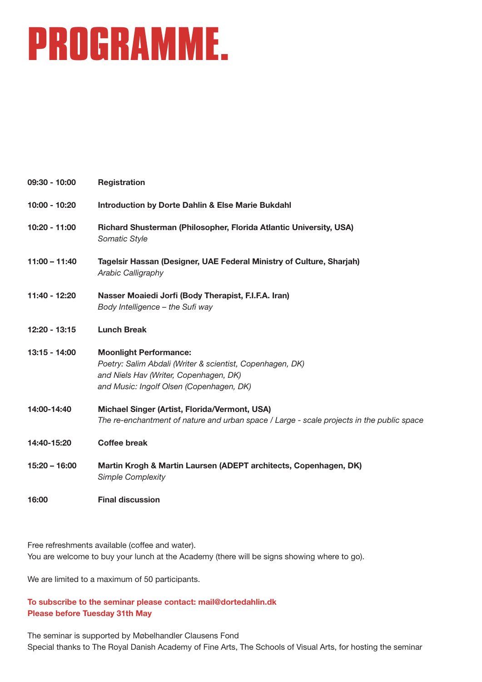### **PROGRAMME.**

| 09:30 - 10:00   | <b>Registration</b>                                                                                                                                                              |
|-----------------|----------------------------------------------------------------------------------------------------------------------------------------------------------------------------------|
| 10:00 - 10:20   | <b>Introduction by Dorte Dahlin &amp; Else Marie Bukdahl</b>                                                                                                                     |
| 10:20 - 11:00   | Richard Shusterman (Philosopher, Florida Atlantic University, USA)<br>Somatic Style                                                                                              |
| $11:00 - 11:40$ | Tagelsir Hassan (Designer, UAE Federal Ministry of Culture, Sharjah)<br>Arabic Calligraphy                                                                                       |
| 11:40 - 12:20   | Nasser Moaiedi Jorfi (Body Therapist, F.I.F.A. Iran)<br>Body Intelligence - the Sufi way                                                                                         |
| 12:20 - 13:15   | <b>Lunch Break</b>                                                                                                                                                               |
| 13:15 - 14:00   | <b>Moonlight Performance:</b><br>Poetry: Salim Abdali (Writer & scientist, Copenhagen, DK)<br>and Niels Hav (Writer, Copenhagen, DK)<br>and Music: Ingolf Olsen (Copenhagen, DK) |
| 14:00-14:40     | Michael Singer (Artist, Florida/Vermont, USA)<br>The re-enchantment of nature and urban space / Large - scale projects in the public space                                       |
| 14:40-15:20     | <b>Coffee break</b>                                                                                                                                                              |
| $15:20 - 16:00$ | Martin Krogh & Martin Laursen (ADEPT architects, Copenhagen, DK)<br><b>Simple Complexity</b>                                                                                     |
| 16:00           | <b>Final discussion</b>                                                                                                                                                          |

Free refreshments available (coffee and water). You are welcome to buy your lunch at the Academy (there will be signs showing where to go).

We are limited to a maximum of 50 participants.

#### **To subscribe to the seminar please contact: mail@dortedahlin.dk Please before Tuesday 31th May**

The seminar is supported by Møbelhandler Clausens Fond Special thanks to The Royal Danish Academy of Fine Arts, The Schools of Visual Arts, for hosting the seminar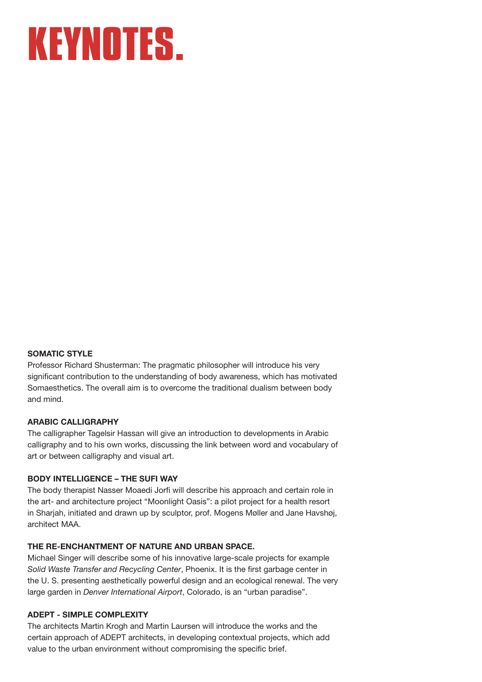### **KEYNOTES.**

#### **SOMATIC STYLE**

Professor Richard Shusterman: The pragmatic philosopher will introduce his very significant contribution to the understanding of body awareness, which has motivated Somaesthetics. The overall aim is to overcome the traditional dualism between body and mind.

#### **ARABIC CALLIGRAPHY**

The calligrapher Tagelsir Hassan will give an introduction to developments in Arabic calligraphy and to his own works, discussing the link between word and vocabulary of art or between calligraphy and visual art.

#### **BODY INTELLIGENCE – THE SUFI WAY**

The body therapist Nasser Moaedi Jorfi will describe his approach and certain role in the art- and architecture project "Moonlight Oasis": a pilot project for a health resort in Sharjah, initiated and drawn up by sculptor, prof. Mogens Møller and Jane Havshøj, architect MAA.

#### **THE RE-ENCHANTMENT OF NATURE AND URBAN SPACE.**

Michael Singer will describe some of his innovative large-scale projects for example *Solid Waste Transfer and Recycling Center*, Phoenix. It is the first garbage center in the U. S. presenting aesthetically powerful design and an ecological renewal. The very large garden in *Denver International Airport*, Colorado, is an "urban paradise".

#### **ADEPT - SIMPLE COMPLEXITY**

The architects Martin Krogh and Martin Laursen will introduce the works and the certain approach of ADEPT architects, in developing contextual projects, which add value to the urban environment without compromising the specific brief.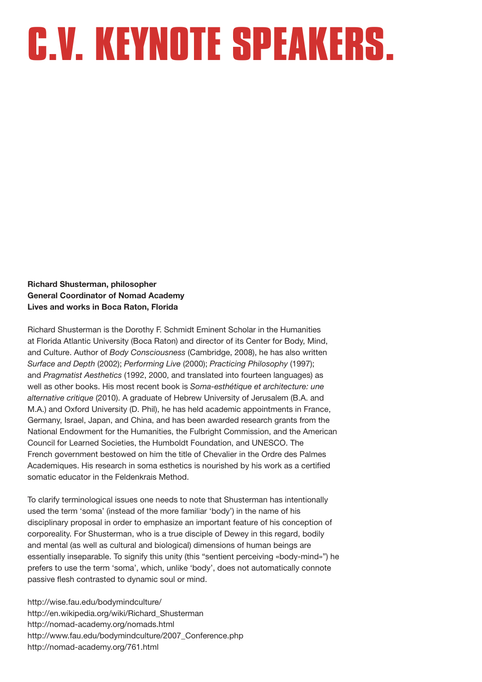**Richard Shusterman, philosopher General Coordinator of Nomad Academy Lives and works in Boca Raton, Florida**

Richard Shusterman is the Dorothy F. Schmidt Eminent Scholar in the Humanities at Florida Atlantic University (Boca Raton) and director of its Center for Body, Mind, and Culture. Author of *Body Consciousness* (Cambridge, 2008), he has also written *Surface and Depth* (2002); *Performing Live* (2000); *Practicing Philosophy* (1997); and *Pragmatist Aesthetics* (1992, 2000, and translated into fourteen languages) as well as other books. His most recent book is *Soma-esthétique et architecture: une alternative critique* (2010). A graduate of Hebrew University of Jerusalem (B.A. and M.A.) and Oxford University (D. Phil), he has held academic appointments in France, Germany, Israel, Japan, and China, and has been awarded research grants from the National Endowment for the Humanities, the Fulbright Commission, and the American Council for Learned Societies, the Humboldt Foundation, and UNESCO. The French government bestowed on him the title of Chevalier in the Ordre des Palmes Academiques. His research in soma esthetics is nourished by his work as a certified somatic educator in the Feldenkrais Method.

To clarify terminological issues one needs to note that Shusterman has intentionally used the term 'soma' (instead of the more familiar 'body') in the name of his disciplinary proposal in order to emphasize an important feature of his conception of corporeality. For Shusterman, who is a true disciple of Dewey in this regard, bodily and mental (as well as cultural and biological) dimensions of human beings are essentially inseparable. To signify this unity (this "sentient perceiving «body-mind»") he prefers to use the term 'soma', which, unlike 'body', does not automatically connote passive flesh contrasted to dynamic soul or mind.

http://wise.fau.edu/bodymindculture/ http://en.wikipedia.org/wiki/Richard\_Shusterman http://nomad-academy.org/nomads.html http://www.fau.edu/bodymindculture/2007\_Conference.php http://nomad-academy.org/761.html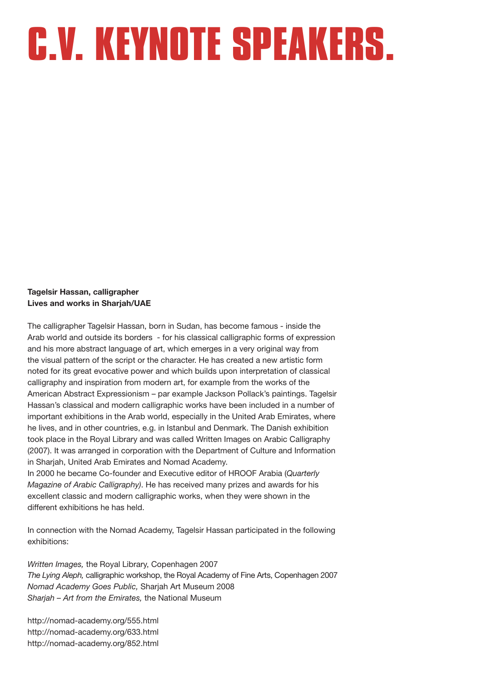#### **Tagelsir Hassan, calligrapher Lives and works in Sharjah/UAE**

The calligrapher Tagelsir Hassan, born in Sudan, has become famous - inside the Arab world and outside its borders - for his classical calligraphic forms of expression and his more abstract language of art, which emerges in a very original way from the visual pattern of the script or the character. He has created a new artistic form noted for its great evocative power and which builds upon interpretation of classical calligraphy and inspiration from modern art, for example from the works of the American Abstract Expressionism – par example Jackson Pollack's paintings. Tagelsir Hassan's classical and modern calligraphic works have been included in a number of important exhibitions in the Arab world, especially in the United Arab Emirates, where he lives, and in other countries, e.g. in Istanbul and Denmark. The Danish exhibition took place in the Royal Library and was called Written Images on Arabic Calligraphy (2007). It was arranged in corporation with the Department of Culture and Information in Sharjah, United Arab Emirates and Nomad Academy.

In 2000 he became Co-founder and Executive editor of HROOF Arabia (*Quarterly Magazine of Arabic Calligraphy)*. He has received many prizes and awards for his excellent classic and modern calligraphic works, when they were shown in the different exhibitions he has held.

In connection with the Nomad Academy, Tagelsir Hassan participated in the following exhibitions:

*Written Images,* the Royal Library, Copenhagen 2007 *The Lying Aleph,* calligraphic workshop, the Royal Academy of Fine Arts, Copenhagen 2007 *Nomad Academy Goes Public,* Sharjah Art Museum 2008 *Sharjah – Art from the Emirates,* the National Museum

http://nomad-academy.org/555.html http://nomad-academy.org/633.html http://nomad-academy.org/852.html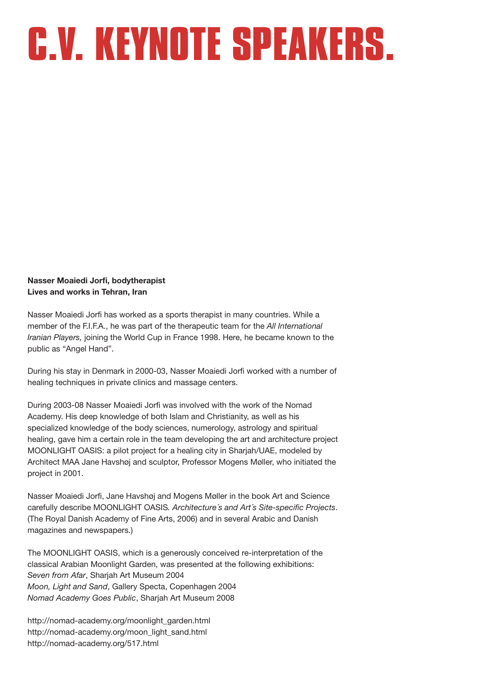**Nasser Moaiedi Jorfi, bodytherapist Lives and works in Tehran, Iran**

Nasser Moaiedi Jorfi has worked as a sports therapist in many countries. While a member of the F.I.F.A., he was part of the therapeutic team for the *All International Iranian Players,* joining the World Cup in France 1998. Here, he became known to the public as "Angel Hand".

During his stay in Denmark in 2000-03, Nasser Moaiedi Jorfi worked with a number of healing techniques in private clinics and massage centers.

During 2003-08 Nasser Moaiedi Jorfi was involved with the work of the Nomad Academy. His deep knowledge of both Islam and Christianity, as well as his specialized knowledge of the body sciences, numerology, astrology and spiritual healing, gave him a certain role in the team developing the art and architecture project MOONLIGHT OASIS: a pilot project for a healing city in Sharjah/UAE, modeled by Architect MAA Jane Havshøj and sculptor, Professor Mogens Møller, who initiated the project in 2001.

Nasser Moaiedi Jorfi, Jane Havshøj and Mogens Møller in the book Art and Science carefully describe MOONLIGHT OASIS*. Architecture´s and Art´s Site-specific Projects*. (The Royal Danish Academy of Fine Arts, 2006) and in several Arabic and Danish magazines and newspapers.)

The MOONLIGHT OASIS, which is a generously conceived re-interpretation of the classical Arabian Moonlight Garden, was presented at the following exhibitions: *Seven from Afar*, Sharjah Art Museum 2004 *Moon, Light and Sand*, Gallery Specta, Copenhagen 2004 *Nomad Academy Goes Public*, Sharjah Art Museum 2008

http://nomad-academy.org/moonlight\_garden.html http://nomad-academy.org/moon\_light\_sand.html http://nomad-academy.org/517.html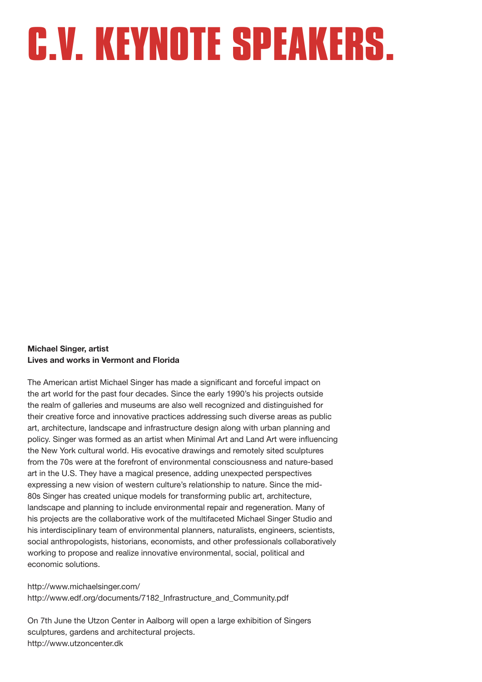#### **Michael Singer, artist Lives and works in Vermont and Florida**

The American artist Michael Singer has made a significant and forceful impact on the art world for the past four decades. Since the early 1990's his projects outside the realm of galleries and museums are also well recognized and distinguished for their creative force and innovative practices addressing such diverse areas as public art, architecture, landscape and infrastructure design along with urban planning and policy. Singer was formed as an artist when Minimal Art and Land Art were influencing the New York cultural world. His evocative drawings and remotely sited sculptures from the 70s were at the forefront of environmental consciousness and nature-based art in the U.S. They have a magical presence, adding unexpected perspectives expressing a new vision of western culture's relationship to nature. Since the mid-80s Singer has created unique models for transforming public art, architecture, landscape and planning to include environmental repair and regeneration. Many of his projects are the collaborative work of the multifaceted Michael Singer Studio and his interdisciplinary team of environmental planners, naturalists, engineers, scientists, social anthropologists, historians, economists, and other professionals collaboratively working to propose and realize innovative environmental, social, political and economic solutions.

http://www.michaelsinger.com/ http://www.edf.org/documents/7182 Infrastructure and Community.pdf

On 7th June the Utzon Center in Aalborg will open a large exhibition of Singers sculptures, gardens and architectural projects. http://www.utzoncenter.dk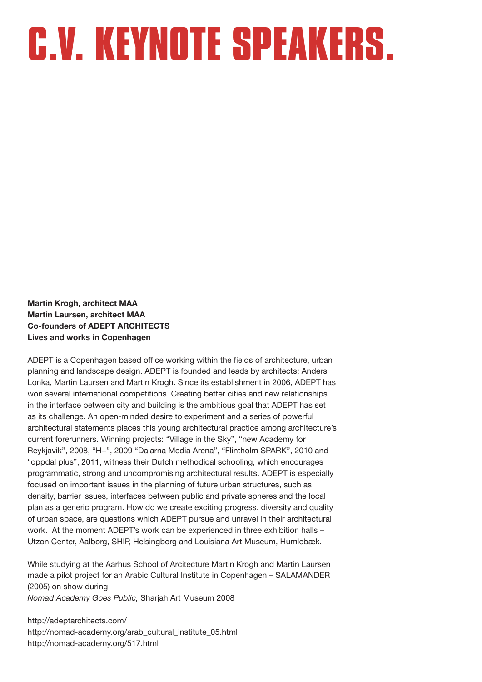**Martin Krogh, architect MAA Martin Laursen, architect MAA Co-founders of ADEPT ARCHITECTS Lives and works in Copenhagen**

ADEPT is a Copenhagen based office working within the fields of architecture, urban planning and landscape design. ADEPT is founded and leads by architects: Anders Lonka, Martin Laursen and Martin Krogh. Since its establishment in 2006, ADEPT has won several international competitions. Creating better cities and new relationships in the interface between city and building is the ambitious goal that ADEPT has set as its challenge. An open-minded desire to experiment and a series of powerful architectural statements places this young architectural practice among architecture's current forerunners. Winning projects: "Village in the Sky", "new Academy for Reykjavik", 2008, "H+", 2009 "Dalarna Media Arena", "Flintholm SPARK", 2010 and "oppdal plus", 2011, witness their Dutch methodical schooling, which encourages programmatic, strong and uncompromising architectural results. ADEPT is especially focused on important issues in the planning of future urban structures, such as density, barrier issues, interfaces between public and private spheres and the local plan as a generic program. How do we create exciting progress, diversity and quality of urban space, are questions which ADEPT pursue and unravel in their architectural work. At the moment ADEPT's work can be experienced in three exhibition halls – Utzon Center, Aalborg, SHIP, Helsingborg and Louisiana Art Museum, Humlebæk.

While studying at the Aarhus School of Arcitecture Martin Krogh and Martin Laursen made a pilot project for an Arabic Cultural Institute in Copenhagen – SALAMANDER (2005) on show during *Nomad Academy Goes Public,* Sharjah Art Museum 2008

http://adeptarchitects.com/ http://nomad-academy.org/arab\_cultural\_institute\_05.html http://nomad-academy.org/517.html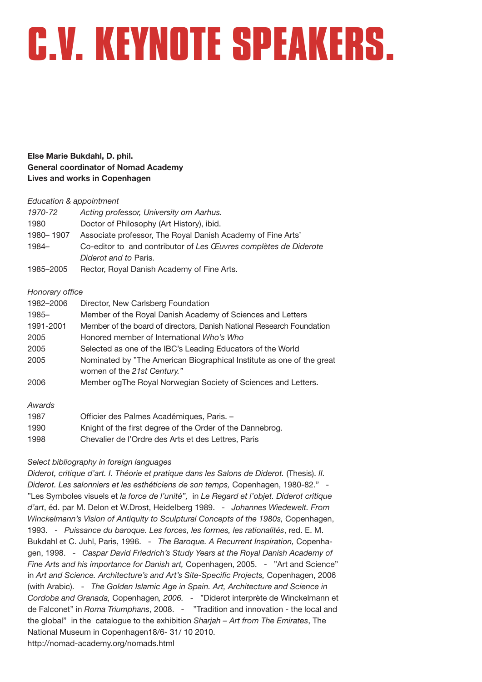**Else Marie Bukdahl, D. phil. General coordinator of Nomad Academy Lives and works in Copenhagen**

#### *Education & appointment*

| 1970-72   | Acting professor, University om Aarhus.                          |
|-----------|------------------------------------------------------------------|
| 1980      | Doctor of Philosophy (Art History), ibid.                        |
| 1980-1907 | Associate professor, The Royal Danish Academy of Fine Arts'      |
| 1984-     | Co-editor to and contributor of Les Œuvres complètes de Diderote |
|           | Diderot and to Paris.                                            |
| 1985–2005 | Rector, Royal Danish Academy of Fine Arts.                       |

#### *Honorary office*

| 1982-2006 | Director, New Carlsberg Foundation                                    |
|-----------|-----------------------------------------------------------------------|
| 1985-     | Member of the Royal Danish Academy of Sciences and Letters            |
| 1991-2001 | Member of the board of directors, Danish National Research Foundation |
| 2005      | Honored member of International Who's Who                             |
| 2005      | Selected as one of the IBC's Leading Educators of the World           |
| 2005      | Nominated by "The American Biographical Institute as one of the great |
|           | women of the 21st Century."                                           |
| 2006      | Member og The Royal Norwegian Society of Sciences and Letters.        |
| Awards    |                                                                       |
| 1987      | Officier des Palmes Académiques, Paris. -                             |
| 1990      | Knight of the first degree of the Order of the Dannebrog.             |

#### 1998 Chevalier de l'Ordre des Arts et des Lettres, Paris

#### *Select bibliography in foreign languages*

*Diderot, critique d'art. I. Théorie et pratique dans les Salons de Diderot.* (Thesis). *II. Diderot. Les salonniers et les esthéticiens de son temps,* Copenhagen, 1980-82." - "Les Symboles visuels et *la force de l'unité",* in *Le Regard et l'objet. Diderot critique d'art*, éd. par M. Delon et W.Drost, Heidelberg 1989. - *Johannes Wiedewelt. From Winckelmann's Vision of Antiquity to Sculptural Concepts of the 1980s,* Copenhagen, 1993. - *Puissance du baroque. Les forces, les formes, les rationalités*, red. E. M. Bukdahl et C. Juhl, Paris, 1996. - *The Baroque. A Recurrent Inspiration,* Copenhagen, 1998. - *Caspar David Friedrich's Study Years at the Royal Danish Academy of Fine Arts and his importance for Danish art,* Copenhagen, 2005. - "Art and Science" in *Art and Science. Architecture's and Art's Site-Specific Projects,* Copenhagen, 2006 (with Arabic). - *The Golden Islamic Age in Spain. Art, Architecture and Science in Cordoba and Granada,* Copenhagen*, 2006. -* "Diderot interprète de Winckelmann et de Falconet" in *Roma Triumphans*, 2008. - "Tradition and innovation - the local and the global" in the catalogue to the exhibition *Sharjah – Art from The Emirates*, The National Museum in Copenhagen18/6- 31/ 10 2010. http://nomad-academy.org/nomads.html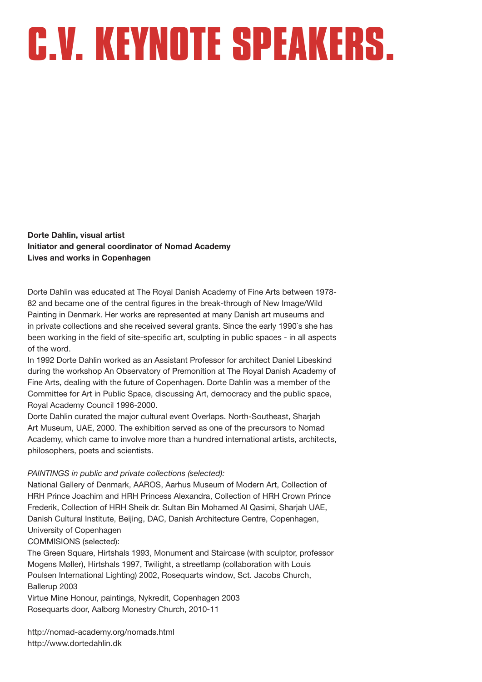**Dorte Dahlin, visual artist Initiator and general coordinator of Nomad Academy Lives and works in Copenhagen**

Dorte Dahlin was educated at The Royal Danish Academy of Fine Arts between 1978- 82 and became one of the central figures in the break-through of New Image/Wild Painting in Denmark. Her works are represented at many Danish art museums and in private collections and she received several grants. Since the early 1990`s she has been working in the field of site-specific art, sculpting in public spaces - in all aspects of the word.

In 1992 Dorte Dahlin worked as an Assistant Professor for architect Daniel Libeskind during the workshop An Observatory of Premonition at The Royal Danish Academy of Fine Arts, dealing with the future of Copenhagen. Dorte Dahlin was a member of the Committee for Art in Public Space, discussing Art, democracy and the public space, Royal Academy Council 1996-2000.

Dorte Dahlin curated the major cultural event Overlaps. North-Southeast, Sharjah Art Museum, UAE, 2000. The exhibition served as one of the precursors to Nomad Academy, which came to involve more than a hundred international artists, architects, philosophers, poets and scientists.

#### *PAINTINGS in public and private collections (selected):*

National Gallery of Denmark, AAROS, Aarhus Museum of Modern Art, Collection of HRH Prince Joachim and HRH Princess Alexandra, Collection of HRH Crown Prince Frederik, Collection of HRH Sheik dr. Sultan Bin Mohamed Al Qasimi, Sharjah UAE, Danish Cultural Institute, Beijing, DAC, Danish Architecture Centre, Copenhagen, University of Copenhagen

#### COMMISIONS (selected):

The Green Square, Hirtshals 1993, Monument and Staircase (with sculptor, professor Mogens Møller), Hirtshals 1997, Twilight, a streetlamp (collaboration with Louis Poulsen International Lighting) 2002, Rosequarts window, Sct. Jacobs Church, Ballerup 2003

Virtue Mine Honour, paintings, Nykredit, Copenhagen 2003 Rosequarts door, Aalborg Monestry Church, 2010-11

http://nomad-academy.org/nomads.html http://www.dortedahlin.dk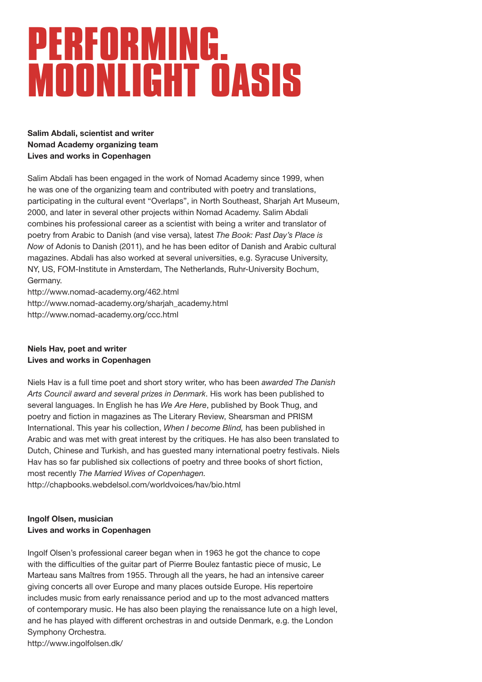### **PERFORMING. MOONLIGHT OASIS**

**Salim Abdali, scientist and writer Nomad Academy organizing team Lives and works in Copenhagen**

Salim Abdali has been engaged in the work of Nomad Academy since 1999, when he was one of the organizing team and contributed with poetry and translations, participating in the cultural event "Overlaps", in North Southeast, Sharjah Art Museum, 2000, and later in several other projects within Nomad Academy. Salim Abdali combines his professional career as a scientist with being a writer and translator of poetry from Arabic to Danish (and vise versa), latest *The Book: Past Day's Place is Now* of Adonis to Danish (2011), and he has been editor of Danish and Arabic cultural magazines. Abdali has also worked at several universities, e.g. Syracuse University, NY, US, FOM-Institute in Amsterdam, The Netherlands, Ruhr-University Bochum, Germany.

http://www.nomad-academy.org/462.html http://www.nomad-academy.org/sharjah\_academy.html http://www.nomad-academy.org/ccc.html

#### **Niels Hav, poet and writer Lives and works in Copenhagen**

Niels Hav is a full time poet and short story writer, who has been *awarded The Danish Arts Council award and several prizes in Denmark*. His work has been published to several languages. In English he has *We Are Here*, published by Book Thug, and poetry and fiction in magazines as The Literary Review, Shearsman and PRISM International. This year his collection, *When I become Blind,* has been published in Arabic and was met with great interest by the critiques. He has also been translated to Dutch, Chinese and Turkish, and has guested many international poetry festivals. Niels Hav has so far published six collections of poetry and three books of short fiction, most recently *The Married Wives of Copenhagen.* 

http://chapbooks.webdelsol.com/worldvoices/hav/bio.html

#### **Ingolf Olsen, musician Lives and works in Copenhagen**

Ingolf Olsen's professional career began when in 1963 he got the chance to cope with the difficulties of the guitar part of Pierrre Boulez fantastic piece of music, Le Marteau sans Maîtres from 1955. Through all the years, he had an intensive career giving concerts all over Europe and many places outside Europe. His repertoire includes music from early renaissance period and up to the most advanced matters of contemporary music. He has also been playing the renaissance lute on a high level, and he has played with different orchestras in and outside Denmark, e.g. the London Symphony Orchestra.

http://www.ingolfolsen.dk/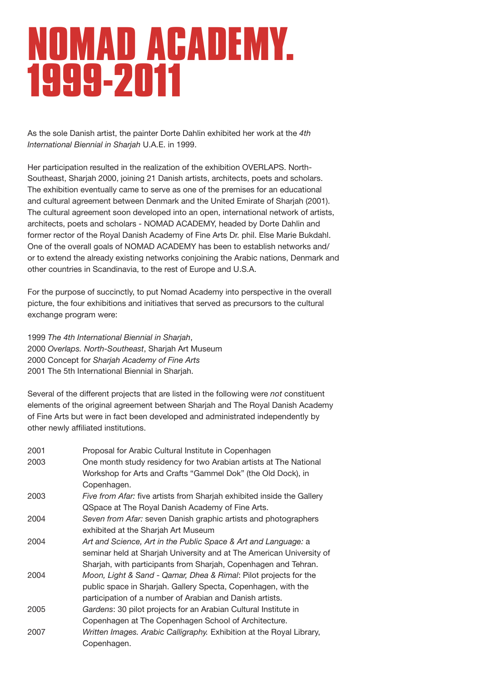### **NOMAD ACADEMY. 1999-2011**

As the sole Danish artist, the painter Dorte Dahlin exhibited her work at the *4th International Biennial in Sharjah* U.A.E. in 1999.

Her participation resulted in the realization of the exhibition OVERLAPS. North-Southeast, Sharjah 2000, joining 21 Danish artists, architects, poets and scholars. The exhibition eventually came to serve as one of the premises for an educational and cultural agreement between Denmark and the United Emirate of Sharjah (2001). The cultural agreement soon developed into an open, international network of artists, architects, poets and scholars - NOMAD ACADEMY, headed by Dorte Dahlin and former rector of the Royal Danish Academy of Fine Arts Dr. phil. Else Marie Bukdahl. One of the overall goals of NOMAD ACADEMY has been to establish networks and/ or to extend the already existing networks conjoining the Arabic nations, Denmark and other countries in Scandinavia, to the rest of Europe and U.S.A.

For the purpose of succinctly, to put Nomad Academy into perspective in the overall picture, the four exhibitions and initiatives that served as precursors to the cultural exchange program were:

1999 *The 4th International Biennial in Sharjah*, 2000 *Overlaps. North-Southeast*, Sharjah Art Museum 2000 Concept for *Sharjah Academy of Fine Arts* 2001 The 5th International Biennial in Sharjah.

Several of the different projects that are listed in the following were *not* constituent elements of the original agreement between Sharjah and The Royal Danish Academy of Fine Arts but were in fact been developed and administrated independently by other newly affiliated institutions.

| 2001 | Proposal for Arabic Cultural Institute in Copenhagen                   |
|------|------------------------------------------------------------------------|
| 2003 | One month study residency for two Arabian artists at The National      |
|      | Workshop for Arts and Crafts "Gammel Dok" (the Old Dock), in           |
|      | Copenhagen.                                                            |
| 2003 | Five from Afar: five artists from Sharjah exhibited inside the Gallery |
|      | QSpace at The Royal Danish Academy of Fine Arts.                       |
| 2004 | Seven from Afar: seven Danish graphic artists and photographers        |
|      | exhibited at the Sharjah Art Museum                                    |
| 2004 | Art and Science, Art in the Public Space & Art and Language: a         |
|      | seminar held at Sharjah University and at The American University of   |
|      | Sharjah, with participants from Sharjah, Copenhagen and Tehran.        |
| 2004 | Moon, Light & Sand - Qamar, Dhea & Rimal: Pilot projects for the       |
|      | public space in Sharjah. Gallery Specta, Copenhagen, with the          |
|      | participation of a number of Arabian and Danish artists.               |
| 2005 | Gardens: 30 pilot projects for an Arabian Cultural Institute in        |
|      | Copenhagen at The Copenhagen School of Architecture.                   |
| 2007 | Written Images. Arabic Calligraphy. Exhibition at the Royal Library,   |
|      | Copenhagen.                                                            |